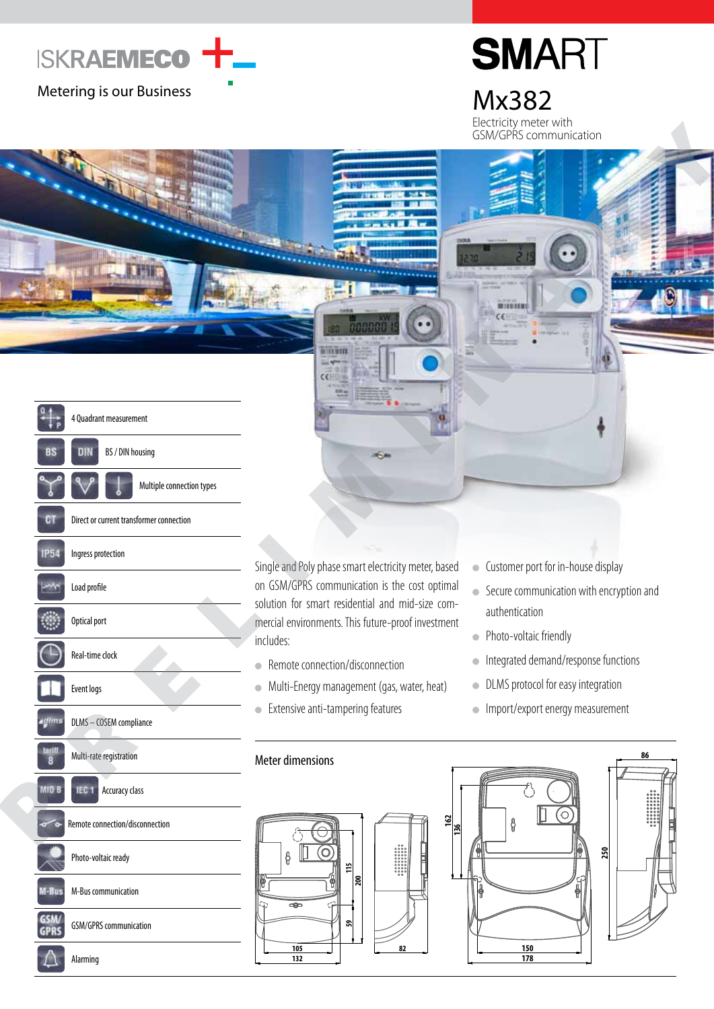

# **SMART**

Electricity meter with GSM/GPRS communication



Alarming

Single and Poly phase smart electricity meter, based on GSM/GPRS communication is the cost optimal solution for smart residential and mid-size commercial environments. This future-proof investment includes:

- Remote connection/disconnection
- **Multi-Energy management (gas, water, heat)**
- Extensive anti-tampering features
- Customer port for in-house display
- Secure communication with encryption and authentication
- Photo-voltaic friendly
- Integrated demand/response functions
- **DLMS** protocol for easy integration
- **Import/export energy measurement**